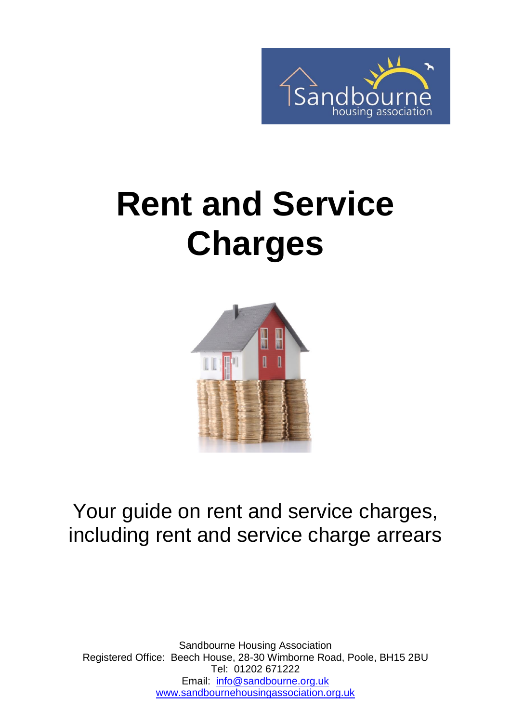

# **Rent and Service Charges**



#### Your guide on rent and service charges, including rent and service charge arrears

Sandbourne Housing Association Registered Office: Beech House, 28-30 Wimborne Road, Poole, BH15 2BU Tel: 01202 671222 Email: [info@sandbourne.org.uk](mailto:info@sandbourne.org.uk) [www.sandbournehousingassociation.org.uk](http://www.sandbournehousingassociation.org.uk/)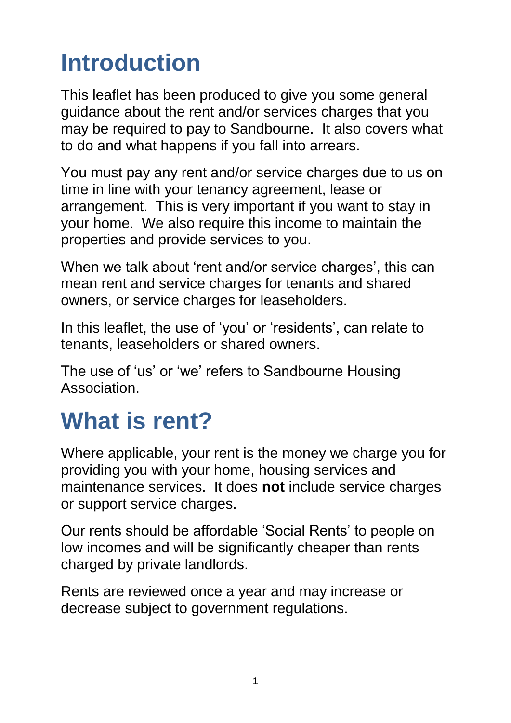#### **Introduction**

This leaflet has been produced to give you some general guidance about the rent and/or services charges that you may be required to pay to Sandbourne. It also covers what to do and what happens if you fall into arrears.

You must pay any rent and/or service charges due to us on time in line with your tenancy agreement, lease or arrangement. This is very important if you want to stay in your home. We also require this income to maintain the properties and provide services to you.

When we talk about 'rent and/or service charges', this can mean rent and service charges for tenants and shared owners, or service charges for leaseholders.

In this leaflet, the use of 'you' or 'residents', can relate to tenants, leaseholders or shared owners.

The use of 'us' or 'we' refers to Sandbourne Housing Association.

### **What is rent?**

Where applicable, your rent is the money we charge you for providing you with your home, housing services and maintenance services. It does **not** include service charges or support service charges.

Our rents should be affordable 'Social Rents' to people on low incomes and will be significantly cheaper than rents charged by private landlords.

Rents are reviewed once a year and may increase or decrease subject to government regulations.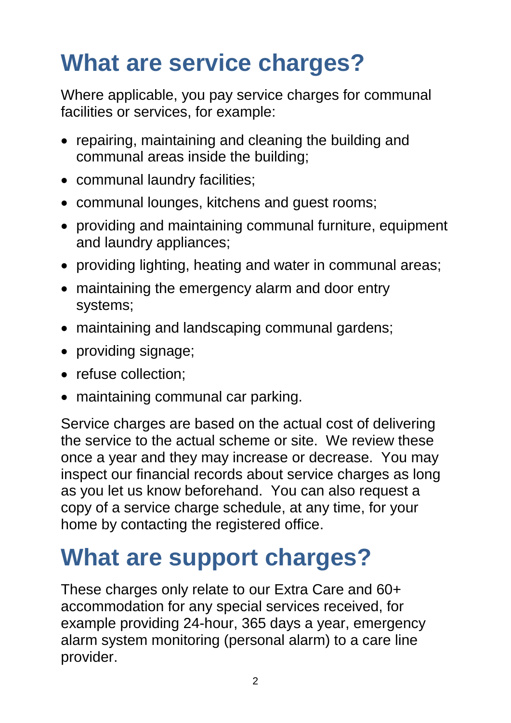## **What are service charges?**

Where applicable, you pay service charges for communal facilities or services, for example:

- repairing, maintaining and cleaning the building and communal areas inside the building;
- communal laundry facilities;
- communal lounges, kitchens and guest rooms;
- providing and maintaining communal furniture, equipment and laundry appliances;
- providing lighting, heating and water in communal areas;
- maintaining the emergency alarm and door entry systems;
- maintaining and landscaping communal gardens;
- providing signage;
- refuse collection;
- maintaining communal car parking.

Service charges are based on the actual cost of delivering the service to the actual scheme or site. We review these once a year and they may increase or decrease. You may inspect our financial records about service charges as long as you let us know beforehand. You can also request a copy of a service charge schedule, at any time, for your home by contacting the registered office.

#### **What are support charges?**

These charges only relate to our Extra Care and 60+ accommodation for any special services received, for example providing 24-hour, 365 days a year, emergency alarm system monitoring (personal alarm) to a care line provider.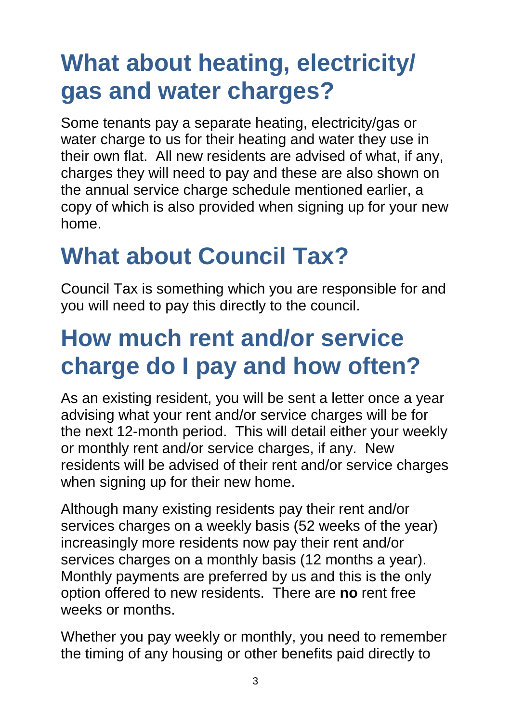### **What about heating, electricity/ gas and water charges?**

Some tenants pay a separate heating, electricity/gas or water charge to us for their heating and water they use in their own flat. All new residents are advised of what, if any, charges they will need to pay and these are also shown on the annual service charge schedule mentioned earlier, a copy of which is also provided when signing up for your new home.

### **What about Council Tax?**

Council Tax is something which you are responsible for and you will need to pay this directly to the council.

#### **How much rent and/or service charge do I pay and how often?**

As an existing resident, you will be sent a letter once a year advising what your rent and/or service charges will be for the next 12-month period. This will detail either your weekly or monthly rent and/or service charges, if any. New residents will be advised of their rent and/or service charges when signing up for their new home.

Although many existing residents pay their rent and/or services charges on a weekly basis (52 weeks of the year) increasingly more residents now pay their rent and/or services charges on a monthly basis (12 months a year). Monthly payments are preferred by us and this is the only option offered to new residents. There are **no** rent free weeks or months.

Whether you pay weekly or monthly, you need to remember the timing of any housing or other benefits paid directly to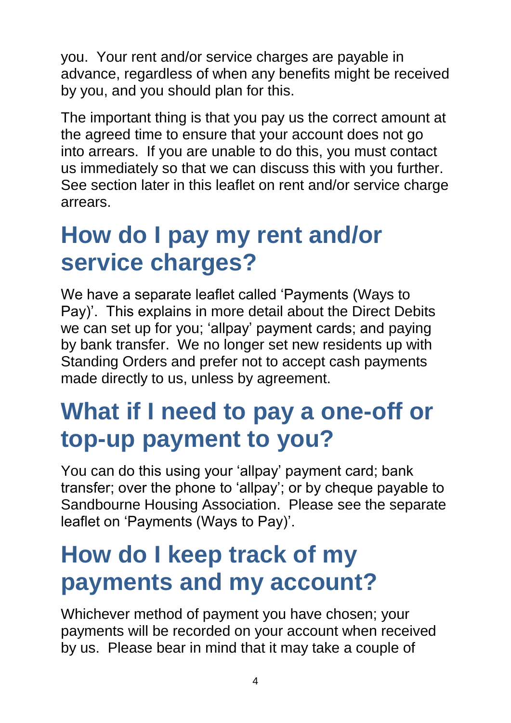you. Your rent and/or service charges are payable in advance, regardless of when any benefits might be received by you, and you should plan for this.

The important thing is that you pay us the correct amount at the agreed time to ensure that your account does not go into arrears. If you are unable to do this, you must contact us immediately so that we can discuss this with you further. See section later in this leaflet on rent and/or service charge arrears.

#### **How do I pay my rent and/or service charges?**

We have a separate leaflet called 'Payments (Ways to Pay)'. This explains in more detail about the Direct Debits we can set up for you; 'allpay' payment cards; and paying by bank transfer. We no longer set new residents up with Standing Orders and prefer not to accept cash payments made directly to us, unless by agreement.

#### **What if I need to pay a one-off or top-up payment to you?**

You can do this using your 'allpay' payment card; bank transfer; over the phone to 'allpay'; or by cheque payable to Sandbourne Housing Association. Please see the separate leaflet on 'Payments (Ways to Pay)'.

#### **How do I keep track of my payments and my account?**

Whichever method of payment you have chosen; your payments will be recorded on your account when received by us. Please bear in mind that it may take a couple of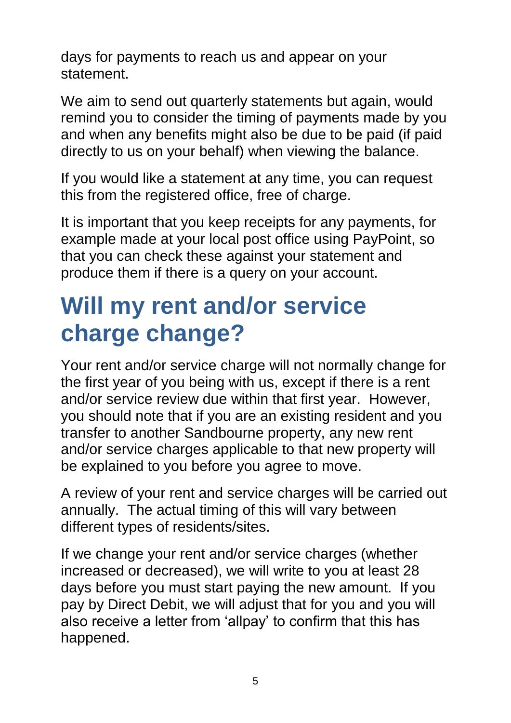days for payments to reach us and appear on your statement.

We aim to send out quarterly statements but again, would remind you to consider the timing of payments made by you and when any benefits might also be due to be paid (if paid directly to us on your behalf) when viewing the balance.

If you would like a statement at any time, you can request this from the registered office, free of charge.

It is important that you keep receipts for any payments, for example made at your local post office using PayPoint, so that you can check these against your statement and produce them if there is a query on your account.

#### **Will my rent and/or service charge change?**

Your rent and/or service charge will not normally change for the first year of you being with us, except if there is a rent and/or service review due within that first year. However, you should note that if you are an existing resident and you transfer to another Sandbourne property, any new rent and/or service charges applicable to that new property will be explained to you before you agree to move.

A review of your rent and service charges will be carried out annually. The actual timing of this will vary between different types of residents/sites.

If we change your rent and/or service charges (whether increased or decreased), we will write to you at least 28 days before you must start paying the new amount. If you pay by Direct Debit, we will adjust that for you and you will also receive a letter from 'allpay' to confirm that this has happened.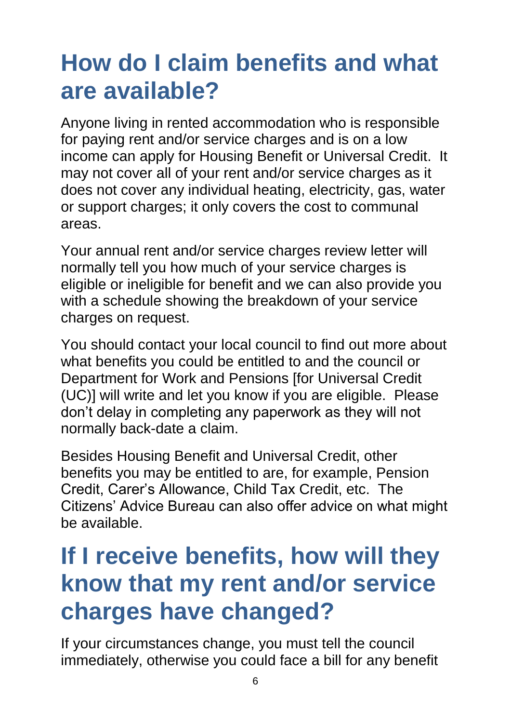#### **How do I claim benefits and what are available?**

Anyone living in rented accommodation who is responsible for paying rent and/or service charges and is on a low income can apply for Housing Benefit or Universal Credit. It may not cover all of your rent and/or service charges as it does not cover any individual heating, electricity, gas, water or support charges; it only covers the cost to communal areas.

Your annual rent and/or service charges review letter will normally tell you how much of your service charges is eligible or ineligible for benefit and we can also provide you with a schedule showing the breakdown of your service charges on request.

You should contact your local council to find out more about what benefits you could be entitled to and the council or Department for Work and Pensions [for Universal Credit (UC)] will write and let you know if you are eligible. Please don't delay in completing any paperwork as they will not normally back-date a claim.

Besides Housing Benefit and Universal Credit, other benefits you may be entitled to are, for example, Pension Credit, Carer's Allowance, Child Tax Credit, etc. The Citizens' Advice Bureau can also offer advice on what might be available.

#### **If I receive benefits, how will they know that my rent and/or service charges have changed?**

If your circumstances change, you must tell the council immediately, otherwise you could face a bill for any benefit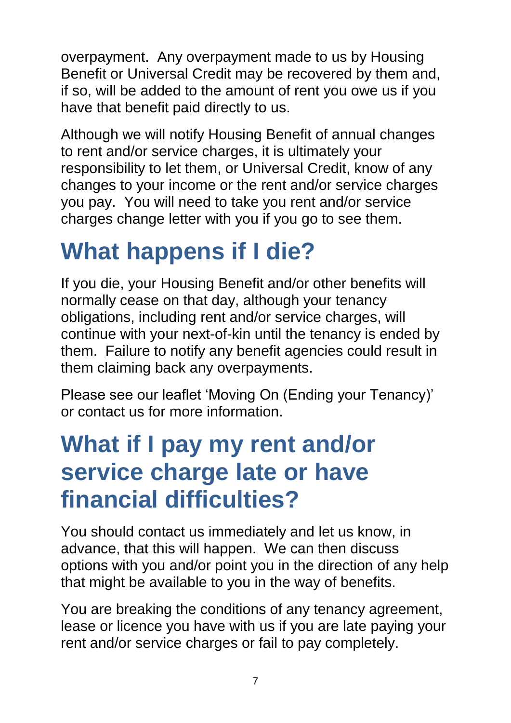overpayment. Any overpayment made to us by Housing Benefit or Universal Credit may be recovered by them and, if so, will be added to the amount of rent you owe us if you have that benefit paid directly to us.

Although we will notify Housing Benefit of annual changes to rent and/or service charges, it is ultimately your responsibility to let them, or Universal Credit, know of any changes to your income or the rent and/or service charges you pay. You will need to take you rent and/or service charges change letter with you if you go to see them.

#### **What happens if I die?**

If you die, your Housing Benefit and/or other benefits will normally cease on that day, although your tenancy obligations, including rent and/or service charges, will continue with your next-of-kin until the tenancy is ended by them. Failure to notify any benefit agencies could result in them claiming back any overpayments.

Please see our leaflet 'Moving On (Ending your Tenancy)' or contact us for more information.

#### **What if I pay my rent and/or service charge late or have financial difficulties?**

You should contact us immediately and let us know, in advance, that this will happen. We can then discuss options with you and/or point you in the direction of any help that might be available to you in the way of benefits.

You are breaking the conditions of any tenancy agreement, lease or licence you have with us if you are late paying your rent and/or service charges or fail to pay completely.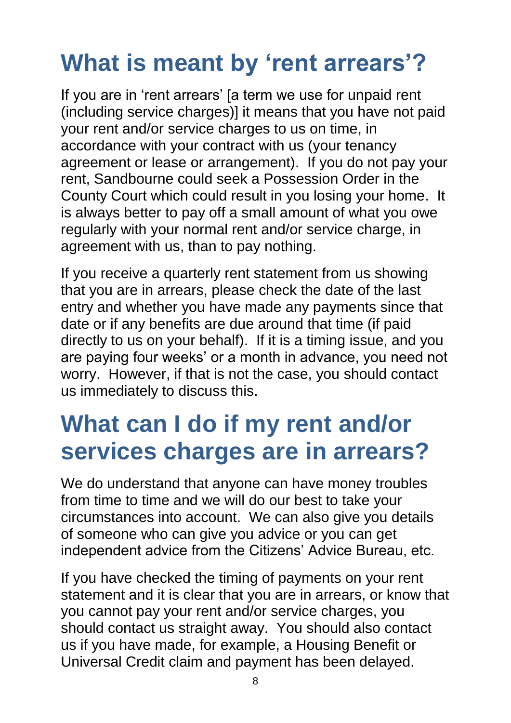### **What is meant by 'rent arrears'?**

If you are in 'rent arrears' [a term we use for unpaid rent (including service charges)] it means that you have not paid your rent and/or service charges to us on time, in accordance with your contract with us (your tenancy agreement or lease or arrangement). If you do not pay your rent, Sandbourne could seek a Possession Order in the County Court which could result in you losing your home. It is always better to pay off a small amount of what you owe regularly with your normal rent and/or service charge, in agreement with us, than to pay nothing.

If you receive a quarterly rent statement from us showing that you are in arrears, please check the date of the last entry and whether you have made any payments since that date or if any benefits are due around that time (if paid directly to us on your behalf). If it is a timing issue, and you are paying four weeks' or a month in advance, you need not worry. However, if that is not the case, you should contact us immediately to discuss this.

#### **What can I do if my rent and/or services charges are in arrears?**

We do understand that anyone can have money troubles from time to time and we will do our best to take your circumstances into account. We can also give you details of someone who can give you advice or you can get independent advice from the Citizens' Advice Bureau, etc.

If you have checked the timing of payments on your rent statement and it is clear that you are in arrears, or know that you cannot pay your rent and/or service charges, you should contact us straight away. You should also contact us if you have made, for example, a Housing Benefit or Universal Credit claim and payment has been delayed.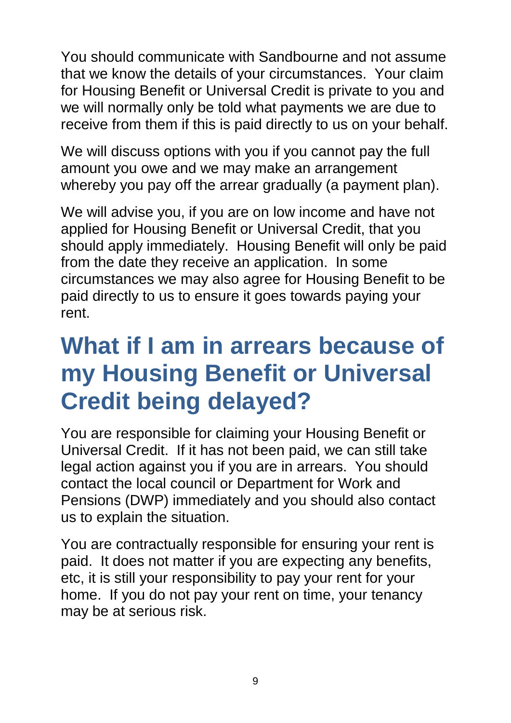You should communicate with Sandbourne and not assume that we know the details of your circumstances. Your claim for Housing Benefit or Universal Credit is private to you and we will normally only be told what payments we are due to receive from them if this is paid directly to us on your behalf.

We will discuss options with you if you cannot pay the full amount you owe and we may make an arrangement whereby you pay off the arrear gradually (a payment plan).

We will advise you, if you are on low income and have not applied for Housing Benefit or Universal Credit, that you should apply immediately. Housing Benefit will only be paid from the date they receive an application. In some circumstances we may also agree for Housing Benefit to be paid directly to us to ensure it goes towards paying your rent.

#### **What if I am in arrears because of my Housing Benefit or Universal Credit being delayed?**

You are responsible for claiming your Housing Benefit or Universal Credit. If it has not been paid, we can still take legal action against you if you are in arrears. You should contact the local council or Department for Work and Pensions (DWP) immediately and you should also contact us to explain the situation.

You are contractually responsible for ensuring your rent is paid. It does not matter if you are expecting any benefits, etc, it is still your responsibility to pay your rent for your home. If you do not pay your rent on time, your tenancy may be at serious risk.